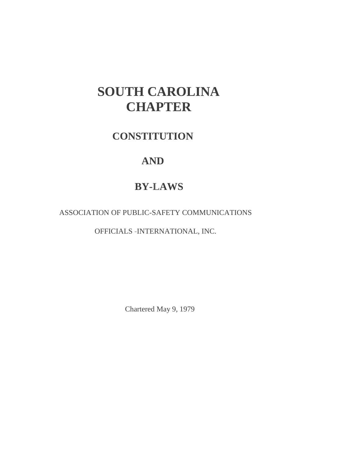# **SOUTH CAROLINA CHAPTER**

# **CONSTITUTION**

# **AND**

# **BY-LAWS**

ASSOCIATION OF PUBLIC-SAFETY COMMUNICATIONS

OFFICIALS -INTERNATIONAL, INC.

Chartered May 9, 1979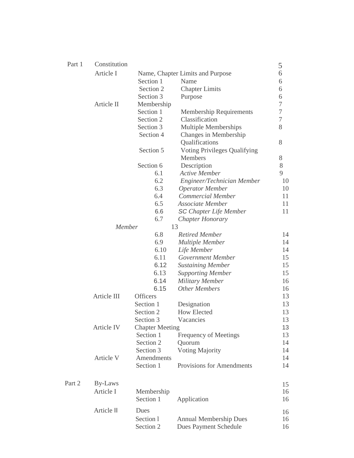| Part 1 | Constitution |                 |                                     | 5              |
|--------|--------------|-----------------|-------------------------------------|----------------|
|        | Article I    |                 | Name, Chapter Limits and Purpose    | 6              |
|        |              | Section 1       | Name                                | 6              |
|        |              | Section 2       | <b>Chapter Limits</b>               | 6              |
|        |              | Section 3       | Purpose                             | 6              |
|        | Article II   | Membership      |                                     | 7              |
|        |              | Section 1       | <b>Membership Requirements</b>      | 7              |
|        |              | Section 2       | Classification                      | $\overline{7}$ |
|        |              | Section 3       | Multiple Memberships                | 8              |
|        |              | Section 4       | Changes in Membership               |                |
|        |              |                 | Qualifications                      | 8              |
|        |              | Section 5       | <b>Voting Privileges Qualifying</b> |                |
|        |              |                 | Members                             | 8              |
|        |              | Section 6       | Description                         | 8              |
|        |              | 6.1             | <b>Active Member</b>                | 9              |
|        |              | 6.2             | Engineer/Technician Member          | 10             |
|        |              | 6.3             | <b>Operator Member</b>              | 10             |
|        |              | 6.4             | Commercial Member                   | 11             |
|        |              | 6.5             | Associate Member                    | 11             |
|        |              | 6.6             | <b>SC</b> Chapter Life Member       | 11             |
|        |              | 6.7             | Chapter Honorary                    |                |
|        | 13<br>Member |                 |                                     |                |
|        |              | 6.8             | <b>Retired Member</b>               | 14             |
|        |              | 6.9             | <b>Multiple Member</b>              | 14             |
|        |              | 6.10            | Life Member                         | 14             |
|        |              | 6.11            | Government Member                   | 15             |
|        |              | 6.12            | <b>Sustaining Member</b>            | 15             |
|        |              | 6.13            | <b>Supporting Member</b>            | 15             |
|        |              | 6.14            | <b>Military Member</b>              | 16             |
|        |              | 6.15            | <b>Other Members</b>                | 16             |
|        | Article III  | <b>Officers</b> |                                     | 13             |
|        |              | Section 1       | Designation                         | 13             |
|        |              | Section 2       | <b>How Elected</b>                  | 13             |
|        |              | Section 3       | Vacancies                           | 13             |
|        | Article IV   |                 | <b>Chapter Meeting</b>              |                |
|        |              | Section 1       | Frequency of Meetings               | 13             |
|        |              | Section 2       | Quorum                              | 14             |
|        |              | Section 3       | <b>Voting Majority</b>              | 14             |
|        | Article V    | Amendments      |                                     | 14             |
|        |              | Section 1       | Provisions for Amendments           | 14             |
| Part 2 | By-Laws      |                 |                                     | 15             |
|        | Article I    | Membership      |                                     | 16             |
|        |              | Section 1       | Application                         | 16             |
|        | Article II   | Dues            |                                     | 16             |
|        |              | Section 1       | <b>Annual Membership Dues</b>       | 16             |
|        |              | Section 2       | <b>Dues Payment Schedule</b>        | 16             |
|        |              |                 |                                     |                |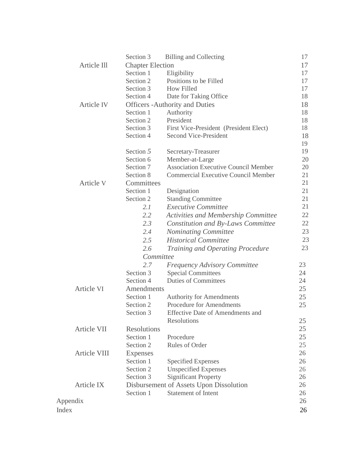|                    | Section 3               | <b>Billing and Collecting</b>               | 17 |
|--------------------|-------------------------|---------------------------------------------|----|
| Article Ill        | <b>Chapter Election</b> |                                             | 17 |
|                    | Section 1               | Eligibility                                 | 17 |
|                    | Section 2               | Positions to be Filled                      | 17 |
|                    | Section 3               | How Filled                                  | 17 |
|                    | Section 4               | Date for Taking Office                      | 18 |
| <b>Article IV</b>  |                         | <b>Officers - Authority and Duties</b>      | 18 |
|                    | Section 1               | Authority                                   | 18 |
|                    | Section 2               | President                                   | 18 |
|                    | Section 3               | First Vice-President (President Elect)      | 18 |
|                    | Section 4               | <b>Second Vice-President</b>                | 18 |
|                    |                         |                                             | 19 |
|                    | Section 5               | Secretary-Treasurer                         | 19 |
|                    | Section 6               | Member-at-Large                             | 20 |
|                    | Section 7               | <b>Association Executive Council Member</b> | 20 |
|                    | Section 8               | <b>Commercial Executive Council Member</b>  | 21 |
| Article V          | Committees              |                                             | 21 |
|                    | Section 1               | Designation                                 | 21 |
|                    | Section 2               | <b>Standing Committee</b>                   | 21 |
|                    | 2.1                     | <b>Executive Committee</b>                  | 21 |
|                    | 2.2                     | <b>Activities and Membership Committee</b>  | 22 |
|                    | 2.3                     | <b>Constitution and By-Laws Committee</b>   | 22 |
|                    | 2.4                     | <b>Nominating Committee</b>                 | 23 |
|                    | 2.5                     | <b>Historical Committee</b>                 | 23 |
|                    | 2.6                     | <b>Training and Operating Procedure</b>     | 23 |
|                    | Committee               |                                             |    |
|                    | 2.7                     | <b>Frequency Advisory Committee</b>         | 23 |
|                    | Section 3               | <b>Special Committees</b>                   | 24 |
|                    | Section 4               | <b>Duties of Committees</b>                 | 24 |
| <b>Article VI</b>  | Amendments              |                                             | 25 |
|                    | Section 1               | <b>Authority for Amendments</b>             | 25 |
|                    | Section 2               | Procedure for Amendments                    | 25 |
|                    | Section 3               | <b>Effective Date of Amendments and</b>     |    |
|                    |                         | Resolutions                                 | 25 |
| <b>Article VII</b> | Resolutions             |                                             | 25 |
|                    | Section 1               | Procedure                                   | 25 |
|                    | Section 2               | Rules of Order                              | 25 |
| Article VIII       | <b>Expenses</b>         |                                             | 26 |
|                    | Section 1               | <b>Specified Expenses</b>                   | 26 |
|                    | Section 2               | <b>Unspecified Expenses</b>                 | 26 |
|                    | Section 3               | <b>Significant Property</b>                 | 26 |
| <b>Article IX</b>  |                         | Disbursement of Assets Upon Dissolution     | 26 |
|                    | Section 1               | <b>Statement of Intent</b>                  | 26 |
| Appendix           |                         |                                             | 26 |
| Index              |                         |                                             | 26 |
|                    |                         |                                             |    |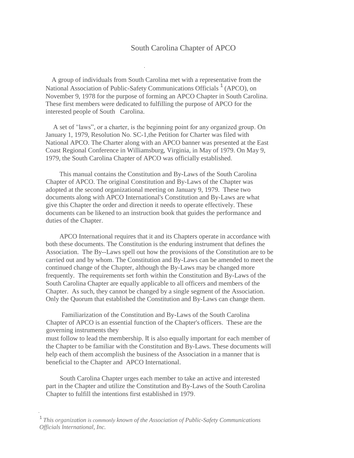#### South Carolina Chapter of APCO

A group of individuals from South Carolina met with a representative from the National Association of Public-Safety Communications Officials <sup>1</sup> (APCO), on November 9, 1978 for the purpose of forming an APCO Chapter in South Carolina. These first members were dedicated to fulfilling the purpose of APCO for the interested people of South Carolina.

A set of "laws", or a charter, is the beginning point for any organized group. On January 1, 1979, Resolution No. SC-1,the Petition for Charter was filed with National APCO. The Charter along with an APCO banner was presented at the East Coast Regional Conference in Williamsburg, Virginia, in May of 1979. On May 9, 1979, the South Carolina Chapter of APCO was officially established.

This manual contains the Constitution and By-Laws of the South Carolina Chapter of APCO. The original Constitution and By-Laws of the Chapter was adopted at the second organizational meeting on January 9, 1979. These two documents along with APCO International's Constitution and By-Laws are what give this Chapter the order and direction it needs to operate effectively. These documents can be likened to an instruction book that guides the performance and duties of the Chapter.

APCO International requires that it and its Chapters operate in accordance with both these documents. The Constitution is the enduring instrument that defines the Association. The By--Laws spell out how the provisions of the Constitution are to be carried out and by whom. The Constitution and By-Laws can be amended to meet the continued change of the Chapter, although the By-Laws may be changed more frequently. The requirements set forth within the Constitution and By-Laws of the South Carolina Chapter are equally applicable to all officers and members of the Chapter. As such, they cannot be changed by a single segment of the Association. Only the Quorum that established the Constitution and By-Laws can change them.

Familiarization of the Constitution and By-Laws of the South Carolina Chapter of APCO is an essential function of the Chapter's officers. These are the governing instruments they must follow to lead the membership. It is also equally important for each member of the Chapter to be familiar with the Constitution and By-Laws. These documents will help each of them accomplish the business of the Association in a manner that is beneficial to the Chapter and APCO International.

South Carolina Chapter urges each member to take an active and interested part in the Chapter and utilize the Constitution and By-Laws of the South Carolina

Chapter to fulfill the intentions first established in 1979.

<sup>1</sup>*This organization is commonly known of the Association of Public-Safety Communications Officials lnternational, Inc.*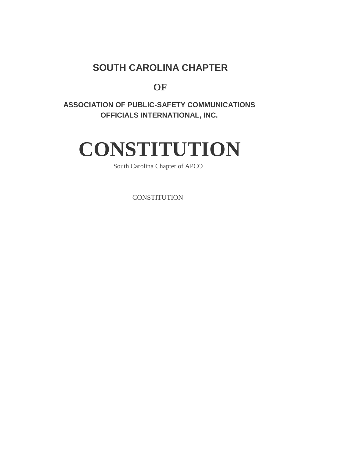## **SOUTH CAROLINA CHAPTER**

**OF**

### **ASSOCIATION OF PUBLIC-SAFETY COMMUNICATIONS OFFICIALS INTERNATIONAL, INC.**

# **CONSTITUTION**

South Carolina Chapter of APCO

**CONSTITUTION**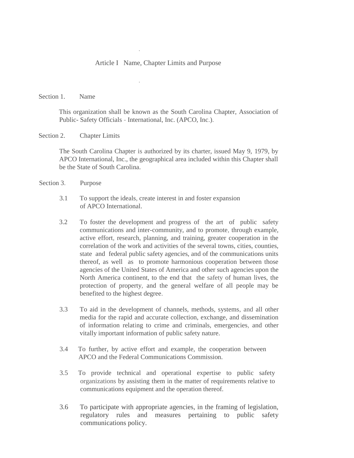#### Article I Name, Chapter Limits and Purpose

<span id="page-5-0"></span>Section 1. Name

This organization shall be known as the South Carolina Chapter, Association of Public- Safety Officials - International, Inc. (APCO, Inc.).

Section 2. Chapter Limits

The South Carolina Chapter is authorized by its charter, issued May 9, 1979, by APCO International, Inc., the geographical area included within this Chapter shall be the State of South Carolina.

Section 3. Purpose

- 3.1 To support the ideals, create interest in and foster expansion of APCO International.
- 3.2 To foster the development and progress of the art of public safety communications and inter-community, and to promote, through example, active effort, research, planning, and training, greater cooperation in the correlation of the work and activities of the several towns, cities, counties, state and federal public safety agencies, and of the communications units thereof, as well as to promote harmonious cooperation between those agencies of the United States of America and other such agencies upon the North America continent, to the end that the safety of human lives, the protection of property, and the general welfare of all people may be benefited to the highest degree.
- 3.3 To aid in the development of channels, methods, systems, and all other media for the rapid and accurate collection, exchange, and dissemination of information relating to crime and criminals, emergencies, and other vitally important information of public safety nature.
- 3.4 To further, by active effort and example, the cooperation between APCO and the Federal Communications Commission.
- 3.5 To provide technical and operational expertise to public safety organizations by assisting them in the matter of requirements relative to communications equipment and the operation thereof.
- 3.6 To participate with appropriate agencies, in the framing of legislation, regulatory rules and measures pertaining to public safety communications policy.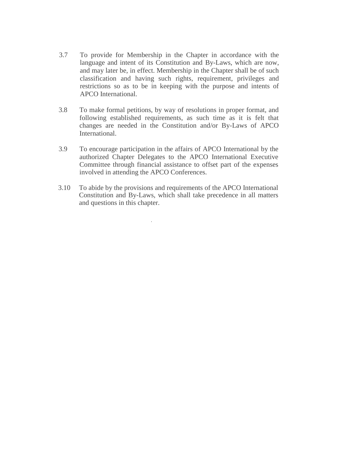- 3.7 To provide for Membership in the Chapter in accordance with the language and intent of its Constitution and By-Laws, which are now, and may later be, in effect. Membership in the Chapter shall be of such classification and having such rights, requirement, privileges and restrictions so as to be in keeping with the purpose and intents of APCO International.
- 3.8 To make formal petitions, by way of resolutions in proper format, and following established requirements, as such time as it is felt that changes are needed in the Constitution and/or By-Laws of APCO International.
- 3.9 To encourage participation in the affairs of APCO International by the authorized Chapter Delegates to the APCO International Executive Committee through financial assistance to offset part of the expenses involved in attending the APCO Conferences.
- 3.10 To abide by the provisions and requirements of the APCO International Constitution and By-Laws, which shall take precedence in all matters and questions in this chapter.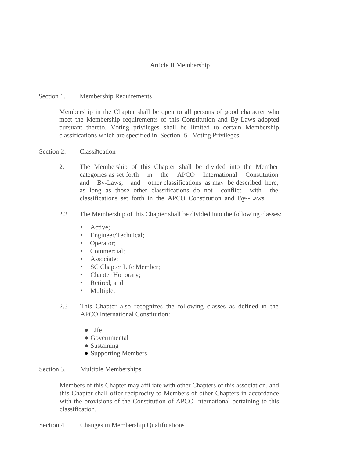#### Article II Membership

#### Section 1. Membership Requirements

Membership in the Chapter shall be open to all persons of good character who meet the Membership requirements of this Constitution and By-Laws adopted pursuant thereto. Voting privileges shall be limited to certain Membership classifications which are specified in Section *5 -* Voting Privileges.

#### Section 2. Classification

- 2.1 The Membership of this Chapter shall be divided into the Member categories as set forth in the APCO International Constitution and By-Laws, and other classifications as may be described here, as long as those other classifications do not conflict with the classifications set forth in the APCO Constitution and By--Laws.
- 2.2 The Membership of this Chapter shall be divided into the following classes:
	- **Active:**
	- Engineer/Technical;
	- Operator;
	- Commercial;
	- Associate:
	- SC Chapter Life Member;
	- Chapter Honorary;
	- Retired; and
	- Multiple.
- 2.3 This Chapter also recognizes the following classes as defined in the APCO International Constitution:
	- Life
	- Governmental
	- Sustaining
	- Supporting Members

#### Section 3. Multiple Memberships

Members of this Chapter may affiliate with other Chapters of this association, and this Chapter shall offer reciprocity to Members of other Chapters in accordance with the provisions of the Constitution of APCO International pertaining to this classification.

Section 4. Changes in Membership Qualifications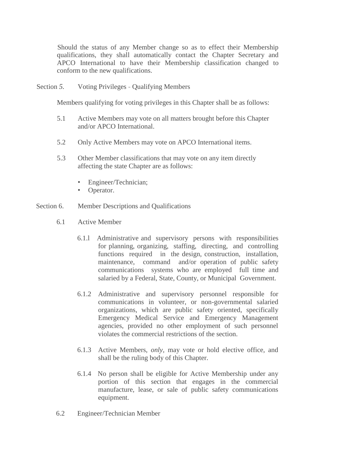Should the status of any Member change so as to effect their Membership qualifications, they shall automatically contact the Chapter Secretary and APCO International to have their Membership classification changed to conform to the new qualifications.

Section *5.* Voting Privileges - Qualifying Members

Members qualifying for voting privileges in this Chapter shall be as follows:

- 5.1 Active Members may vote on all matters brought before this Chapter and/or APCO International.
- 5.2 Only Active Members may vote on APCO International items.
- 5.3 Other Member classifications that may vote on any item directly affecting the state Chapter are as follows:
	- Engineer/Technician;
	- Operator.
- Section 6. Member Descriptions and Qualifications
	- 6.1 Active Member
		- 6.1.l Administrative and supervisory persons with responsibilities for planning, organizing, staffing, directing, and controlling functions required in the design, construction, installation, maintenance, command and/or operation of public safety communications systems who are employed full time and salaried by a Federal, State, County, or Municipal Government.
		- 6.1.2 Administrative and supervisory personnel responsible for communications in volunteer, or non-governmental salaried organizations, which are public safety oriented, specifically Emergency Medical Service and Emergency Management agencies, provided no other employment of such personnel violates the commercial restrictions of the section.
		- 6.1.3 Active Members, *only,* may vote or hold elective office, and shall be the ruling body of this Chapter.
		- 6.1.4 No person shall be eligible for Active Membership under any portion of this section that engages in the commercial manufacture, lease, or sale of public safety communications equipment.
	- 6.2 Engineer/Technician Member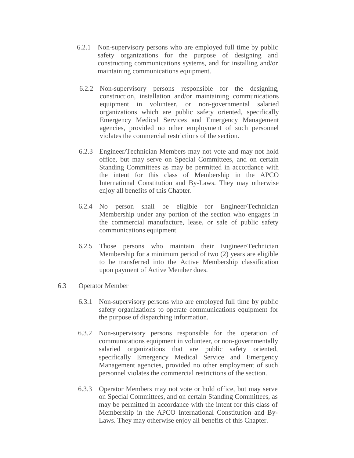- 6.2.1 Non-supervisory persons who are employed full time by public safety organizations for the purpose of designing and constructing communications systems, and for installing and/or maintaining communications equipment.
- 6.2.2 Non-supervisory persons responsible for the designing, construction, installation and/or maintaining communications equipment in volunteer, or non-governmental salaried organizations which are public safety oriented, specifically Emergency Medical Services and Emergency Management agencies, provided no other employment of such personnel violates the commercial restrictions of the section.
- 6.2.3 Engineer/Technician Members may not vote and may not hold office, but may serve on Special Committees, and on certain Standing Committees as may be permitted in accordance with the intent for this class of Membership in the APCO International Constitution and By-Laws. They may otherwise enjoy all benefits of this Chapter.
- 6.2.4 No person shall be eligible for Engineer/Technician Membership under any portion of the section who engages in the commercial manufacture, lease, or sale of public safety communications equipment.
- 6.2.5 Those persons who maintain their Engineer/Technician Membership for a minimum period of two (2) years are eligible to be transferred into the Active Membership classification upon payment of Active Member dues.
- 6.3 Operator Member
	- 6.3.1 Non-supervisory persons who are employed full time by public safety organizations to operate communications equipment for the purpose of dispatching information.
	- 6.3.2 Non-supervisory persons responsible for the operation of communications equipment in volunteer, or non-governmentally salaried organizations that are public safety oriented, specifically Emergency Medical Service and Emergency Management agencies, provided no other employment of such personnel violates the commercial restrictions of the section.
	- 6.3.3 Operator Members may not vote or hold office, but may serve on Special Committees, and on certain Standing Committees, as may be permitted in accordance with the intent for this class of Membership in the APCO International Constitution and By-Laws. They may otherwise enjoy all benefits of this Chapter.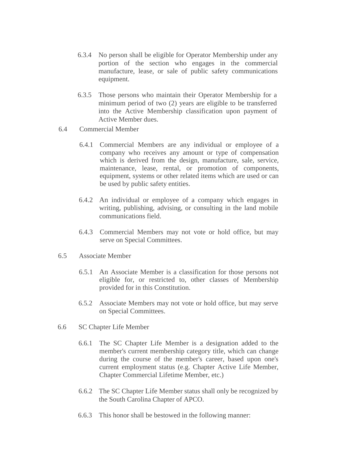- 6.3.4 No person shall be eligible for Operator Membership under any portion of the section who engages in the commercial manufacture, lease, or sale of public safety communications equipment.
- 6.3.5 Those persons who maintain their Operator Membership for a minimum period of two (2) years are eligible to be transferred into the Active Membership classification upon payment of Active Member dues.
- 6.4 Commercial Member
	- 6.4.1 Commercial Members are any individual or employee of a company who receives any amount or type of compensation which is derived from the design, manufacture, sale, service, maintenance, lease, rental, or promotion of components, equipment, systems or other related items which are used or can be used by public safety entities.
	- 6.4.2 An individual or employee of a company which engages in writing, publishing, advising, or consulting in the land mobile communications field.
	- 6.4.3 Commercial Members may not vote or hold office, but may serve on Special Committees.
- 6.5 Associate Member
	- 6.5.1 An Associate Member is a classification for those persons not eligible for, or restricted to, other classes of Membership provided for in this Constitution.
	- 6.5.2 Associate Members may not vote or hold office, but may serve on Special Committees.
- 6.6 SC Chapter Life Member
	- 6.6.1 The SC Chapter Life Member is a designation added to the member's current membership category title, which can change during the course of the member's career, based upon one's current employment status (e.g. Chapter Active Life Member, Chapter Commercial Lifetime Member, etc.)
	- 6.6.2 The SC Chapter Life Member status shall only be recognized by the South Carolina Chapter of APCO.
	- 6.6.3 This honor shall be bestowed in the following manner: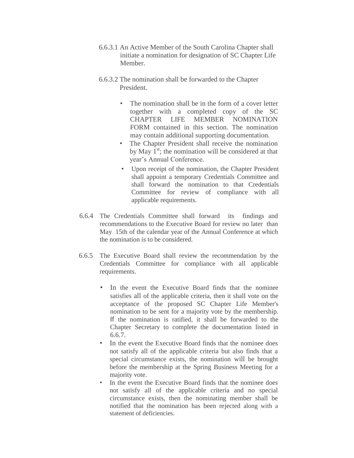- 6.6.3.1 An Active Member of the South Carolina Chapter shall initiate a nomination for designation of SC Chapter Life Member.
- 6.6.3.2 The nomination shall be forwarded to the Chapter President.
	- The nomination shall be in the form of a cover letter together with a completed copy of the SC CHAPTER LIFE MEMBER NOMINATION FORM contained in this section. The nomination may contain additional supporting documentation.
	- The Chapter President shall receive the nomination by May  $1<sup>st</sup>$ ; the nomination will be considered at that year's Annual Conference.
	- Upon receipt of the nomination, the Chapter President shall appoint a temporary Credentials Committee and shall forward the nomination to that Credentials Committee for review of compliance with all applicable requirements.
- 6.6.4 The Credentials Committee shall forward its findings and recommendations to the Executive Board for review no later than May 15th of the calendar year of the Annual Conference at which the nomination is to be considered.
- 6.6.5 The Executive Board shall review the recommendation by the Credentials Committee for compliance with all applicable requirements.
	- In the event the Executive Board finds that the nominee satisfies all of the applicable criteria, then it shall vote on the acceptance of the proposed SC Chapter Life Member's nomination to be sent for a majority vote by the membership. If the nomination is ratified, it shall be forwarded to the Chapter Secretary to complete the documentation listed in 6.6.7.
	- In the event the Executive Board finds that the nominee does not satisfy all of the applicable criteria but also finds that a special circumstance exists, the nomination will be brought before the membership at the Spring Business Meeting for a majority vote.
	- In the event the Executive Board finds that the nominee does not satisfy all of the applicable criteria and no special circumstance exists, then the nominating member shall be notified that the nomination has been rejected along with a statement of deficiencies.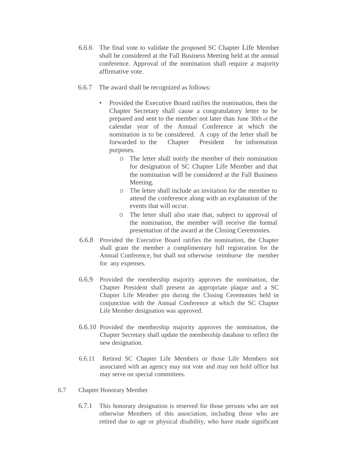- 6.6.6 The final vote to validate the proposed SC Chapter Life Member shall be considered at the Fall Business Meeting held at the annual conference. Approval of the nomination shall require a majority affirmative vote.
- 6.6.7 The award shall be recognized as follows:
	- Provided the Executive Board ratifies the nomination, then the Chapter Secretary shall cause a congratulatory letter to be prepared and sent to the member not later than June 30th of the calendar year of the Annual Conference at which the nomination is to be considered. A copy of the letter shall be forwarded to the Chapter President for information purposes.
		- o The letter shall notify the member of their nomination for designation of SC Chapter Life Member and that the nomination will be considered at the Fall Business Meeting.
		- o The letter shall include an invitation for the member to attend the conference along with an explanation of the events that will occur.
		- o The letter shall also state that, subject to approval of the nomination, the member will receive the formal presentation of the award at the Closing Ceremonies.
- 6.6.8 Provided the Executive Board ratifies the nomination, the Chapter shall grant the member a complimentary full registration for the Annual Conference, but shall not otherwise reimburse the member for any expenses.
- 6.6.9 Provided the membership majority approves the nomination, the Chapter President shall present an appropriate plaque and a SC Chapter Life Member pin during the Closing Ceremonies held in conjunction with the Annual Conference at which the SC Chapter Life Member designation was approved.
- 6.6.10 Provided the membership majority approves the nomination, the Chapter Secretary shall update the membership database to reflect the new designation.
- 6.6.11 Retired SC Chapter Life Members or those Life Members not associated with an agency may not vote and may not hold office but may serve on special committees.
- 6.7 Chapter Honorary Member
	- 6.7.1 This honorary designation is reserved for those persons who are not otherwise Members of this association, including those who are retired due to age or physical disability, who have made significant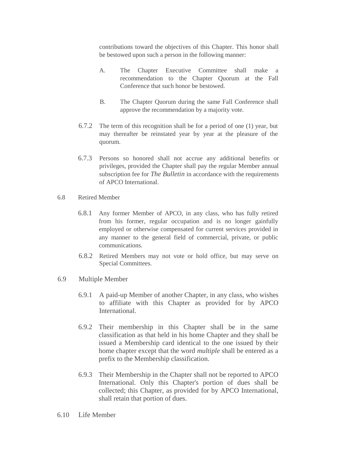contributions toward the objectives of this Chapter. This honor shall be bestowed upon such a person in the following manner:

- A. The Chapter Executive Committee shall make a recommendation to the Chapter Quorum at the Fall Conference that such honor be bestowed.
- B. The Chapter Quorum during the same Fall Conference shall approve the recommendation by a majority vote.
- 6.7.2 The term of this recognition shall be for a period of one (1) year, but may thereafter be reinstated year by year at the pleasure of the quorum.
- 6.7.3 Persons so honored shall not accrue any additional benefits or privileges, provided the Chapter shall pay the regular Member annual subscription fee for *The Bulletin* in accordance with the requirements of APCO International.
- 6.8 Retired Member
	- 6.8.1 Any former Member of APCO, in any class, who has fully retired from his former, regular occupation and is no longer gainfully employed or otherwise compensated for current services provided in any manner to the general field of commercial, private, or public communications.
	- 6.8.2 Retired Members may not vote or hold office, but may serve on Special Committees.
- 6.9 Multiple Member
	- 6.9.1 A paid-up Member of another Chapter, in any class, who wishes to affiliate with this Chapter as provided for by APCO International.
	- 6.9.2 Their membership in this Chapter shall be in the same classification as that held in his home Chapter and they shall be issued a Membership card identical to the one issued by their home chapter except that the word *multiple* shall be entered as a prefix to the Membership classification.
	- 6.9.3 Their Membership in the Chapter shall not be reported to APCO International. Only this Chapter's portion of dues shall be collected; this Chapter, as provided for by APCO International, shall retain that portion of dues.
- 6.10 Life Member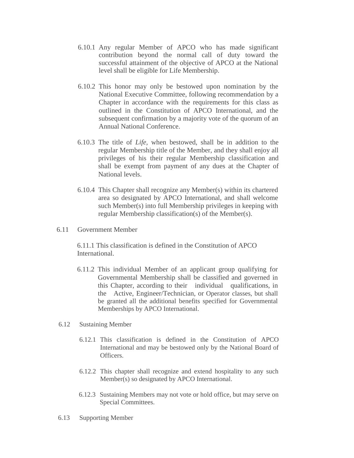- 6.10.1 Any regular Member of APCO who has made significant contribution beyond the normal call of duty toward the successful attainment of the objective of APCO at the National level shall be eligible for Life Membership.
- 6.10.2 This honor may only be bestowed upon nomination by the National Executive Committee, following recommendation by a Chapter in accordance with the requirements for this class as outlined in the Constitution of APCO International, and the subsequent confirmation by a majority vote of the quorum of an Annual National Conference.
- 6.10.3 The title of *Life,* when bestowed, shall be in addition to the regular Membership title of the Member, and they shall enjoy all privileges of his their regular Membership classification and shall be exempt from payment of any dues at the Chapter of National levels.
- 6.10.4 This Chapter shall recognize any Member(s) within its chartered area so designated by APCO International, and shall welcome such Member(s) into full Membership privileges in keeping with regular Membership classification(s) of the Member(s).
- 6.11 Government Member

6.11.1 This classification is defined in the Constitution of APCO International.

- 6.11.2 This individual Member of an applicant group qualifying for Governmental Membership shall be classified and governed in this Chapter, according to their individual qualifications, in the Active, Engineer/Technician, or Operator classes, but shall be granted all the additional benefits specified for Governmental Memberships by APCO International.
- 6.12 Sustaining Member
	- 6.12.1 This classification is defined in the Constitution of APCO International and may be bestowed only by the National Board of Officers.
	- 6.12.2 This chapter shall recognize and extend hospitality to any such Member(s) so designated by APCO International.
	- 6.12.3 Sustaining Members may not vote or hold office, but may serve on Special Committees.
- 6.13 Supporting Member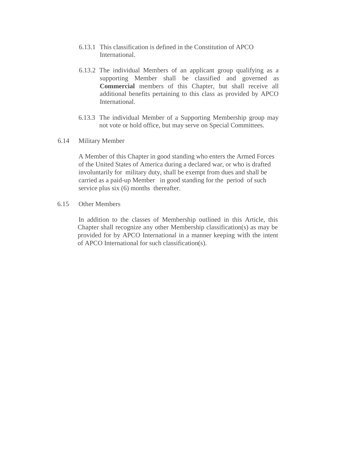- 6.13.1 This classification is defined in the Constitution of APCO International.
- 6.13.2 The individual Members of an applicant group qualifying as a supporting Member shall be classified and governed as **Commercial** members of this Chapter, but shall receive all additional benefits pertaining to this class as provided by APCO International.
- 6.13.3 The individual Member of a Supporting Membership group may not vote or hold office, but may serve on Special Committees.
- 6.14 Military Member

A Member of this Chapter in good standing who enters the Armed Forces of the United States of America during a declared war, or who is drafted involuntarily for military duty, shall be exempt from dues and shall be carried as a paid-up Member in good standing for the period of such service plus six (6) months thereafter.

6.15 Other Members

In addition to the classes of Membership outlined in this Article, this Chapter shall recognize any other Membership classification(s) as may be provided for by APCO International in a manner keeping with the intent of APCO International for such classification(s).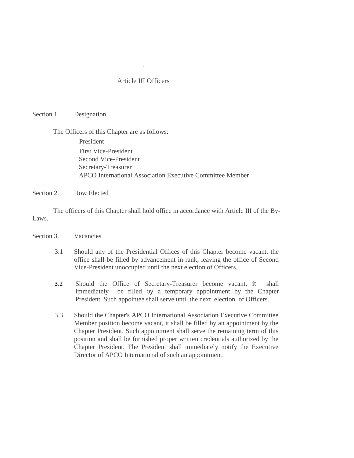#### Article III Officers

#### Section 1. Designation

The Officers of this Chapter are as follows:

President

First Vice-President Second Vice-President Secretary-Treasurer APCO International Association Executive Committee Member

Section 2. How Elected

The officers of this Chapter shall hold office in accordance with Article III of the By-Laws.

- Section 3. Vacancies
	- 3.1 Should any of the Presidential Offices of this Chapter become vacant, the office shall be filled by advancement in rank, leaving the office of Second Vice-President unoccupied until the next election of Officers.
	- 3.2 Should the Office of Secretary-Treasurer become vacant, it shall immediately be filled by a temporary appointment by the Chapter President. Such appointee shall serve until the next election of Officers.
	- 3.3 Should the Chapter's APCO International Association Executive Committee Member position become vacant, it shall be filled by an appointment by the Chapter President. Such appointment shall serve the remaining term of this position and shall be furnished proper written credentials authorized by the Chapter President. The President shall immediately notify the Executive Director of APCO International of such an appointment.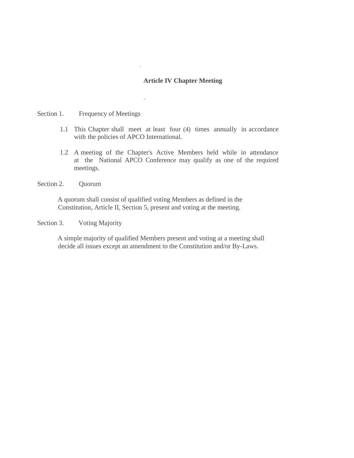#### **Article IV Chapter Meeting**

#### <span id="page-17-0"></span>Section 1. Frequency of Meetings

- 1.1 This Chapter shall meet at least four (4) times annually in accordance with the policies of APCO International.
- 1.2 A meeting of the Chapter's Active Members held while in attendance at the National APCO Conference may qualify as one of the required meetings.
- Section 2. Quorum

A quorum shall consist of qualified voting Members as defined in the Constitution, Article II, Section 5, present and voting at the meeting.

Section 3. Voting Majority

A simple majority of qualified Members present and voting at a meeting shall decide all issues except an amendment to the Constitution and/or By-Laws.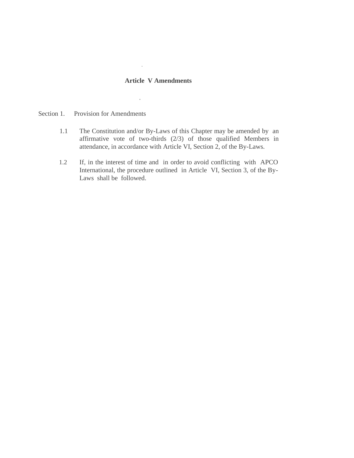#### **Article V Amendments**

- <span id="page-18-0"></span>Section 1. Provision for Amendments
	- 1.1 The Constitution and/or By-Laws of this Chapter may be amended by an affirmative vote of two-thirds (2/3) of those qualified Members in attendance, in accordance with Article VI, Section 2, of the By-Laws.
	- 1.2 If, in the interest of time and in order to avoid conflicting with APCO International, the procedure outlined in Article VI, Section 3, of the By-Laws shall be followed.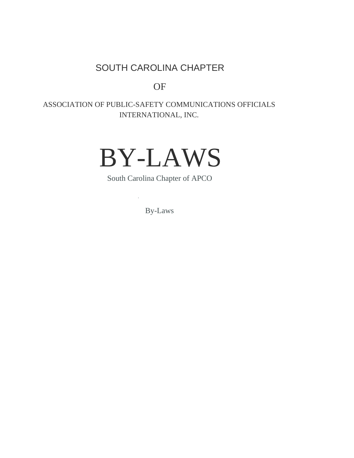## SOUTH CAROLINA CHAPTER

OF

## ASSOCIATION OF PUBLIC-SAFETY COMMUNICATIONS OFFICIALS INTERNATIONAL, INC.



South Carolina Chapter of APCO

By-Laws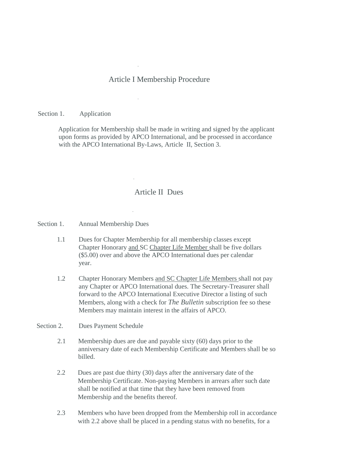#### Article I Membership Procedure

#### Section 1. Application

Application for Membership shall be made in writing and signed by the applicant upon forms as provided by APCO International, and be processed in accordance with the APCO International By-Laws, Article II, Section 3.

#### Article II Dues

<span id="page-20-0"></span>Section 1. Annual Membership Dues

- 1.1 Dues for Chapter Membership for all membership classes except Chapter Honorary and SC Chapter Life Member shall be five dollars (\$5.00) over and above the APCO International dues per calendar year.
- 1.2 Chapter Honorary Members and SC Chapter Life Members shall not pay any Chapter or APCO International dues. The Secretary-Treasurer shall forward to the APCO International Executive Director a listing of such Members, along with a check for *The Bulletin* subscription fee so these Members may maintain interest in the affairs of APCO.

#### Section 2. Dues Payment Schedule

- 2.1 Membership dues are due and payable sixty (60) days prior to the anniversary date of each Membership Certificate and Members shall be so billed.
- 2.2 Dues are past due thirty (30) days after the anniversary date of the Membership Certificate. Non-paying Members in arrears after such date shall be notified at that time that they have been removed from Membership and the benefits thereof.
- 2.3 Members who have been dropped from the Membership roll in accordance with 2.2 above shall be placed in a pending status with no benefits, for a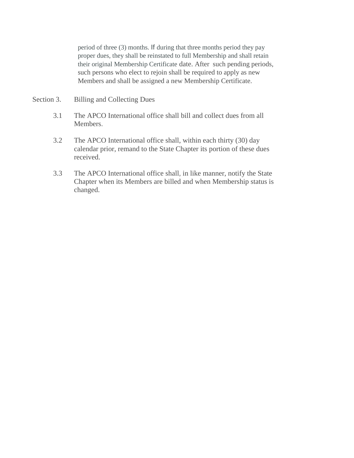period of three (3) months. If during that three months period they pay proper dues, they shall be reinstated to full Membership and shall retain their original Membership Certificate date. After such pending periods, such persons who elect to rejoin shall be required to apply as new Members and shall be assigned a new Membership Certificate.

- Section 3. Billing and Collecting Dues
	- 3.1 The APCO International office shall bill and collect dues from all Members.
	- 3.2 The APCO International office shall, within each thirty (30) day calendar prior, remand to the State Chapter its portion of these dues received.
	- 3.3 The APCO International office shall, in like manner, notify the State Chapter when its Members are billed and when Membership status is changed.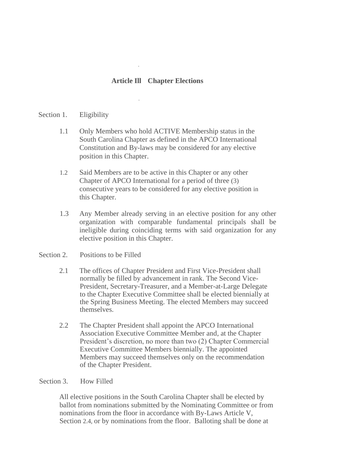#### **Article Ill Chapter Elections**

#### Section 1. Eligibility

- 1.1 Only Members who hold ACTIVE Membership status in the South Carolina Chapter as defined in the APCO International Constitution and By-laws may be considered for any elective position in this Chapter.
- 1.2 Said Members are to be active in this Chapter or any other Chapter of APCO International for a period of three (3) consecutive years to be considered for any elective position in this Chapter.
- 1.3 Any Member already serving in an elective position for any other organization with comparable fundamental principals shall be ineligible during coinciding terms with said organization for any elective position in this Chapter.

#### Section 2. Positions to be Filled

- 2.1 The offices of Chapter President and First Vice-President shall normally be filled by advancement in rank. The Second Vice-President, Secretary-Treasurer, and a Member-at-Large Delegate to the Chapter Executive Committee shall be elected biennially at the Spring Business Meeting. The elected Members may succeed themselves.
- 2.2 The Chapter President shall appoint the APCO International Association Executive Committee Member and, at the Chapter President's discretion, no more than two (2) Chapter Commercial Executive Committee Members biennially. The appointed Members may succeed themselves only on the recommendation of the Chapter President.

#### Section 3. How Filled

All elective positions in the South Carolina Chapter shall be elected by ballot from nominations submitted by the Nominating Committee or from nominations from the floor in accordance with By-Laws Article V, Section 2.4, or by nominations from the floor. Balloting shall be done at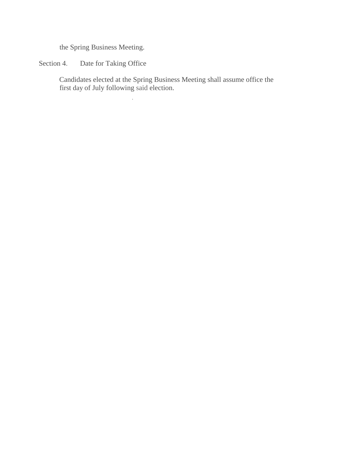the Spring Business Meeting.

### Section 4. Date for Taking Office

Candidates elected at the Spring Business Meeting shall assume office the first day of July following said election.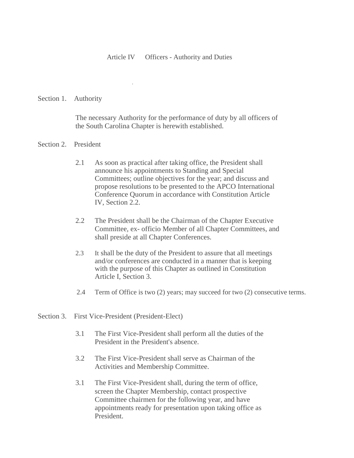#### Article IV Officers - Authority and Duties

#### Section 1. Authority

The necessary Authority for the performance of duty by all officers of the South Carolina Chapter is herewith established.

#### Section 2. President

- 2.1 As soon as practical after taking office, the President shall announce his appointments to Standing and Special Committees; outline objectives for the year; and discuss and propose resolutions to be presented to the APCO International Conference Quorum in accordance with Constitution Article IV, Section 2.2.
- 2.2 The President shall be the Chairman of the Chapter Executive Committee, ex- officio Member of all Chapter Committees, and shall preside at all Chapter Conferences.
- 2.3 It shall be the duty of the President to assure that all meetings and/or conferences are conducted in a manner that is keeping with the purpose of this Chapter as outlined in Constitution Article I, Section 3.
- 2.4 Term of Office is two (2) years; may succeed for two (2) consecutive terms.
- Section 3. First Vice-President (President-Elect)
	- 3.1 The First Vice-President shall perform all the duties of the President in the President's absence.
	- 3.2 The First Vice-President shall serve as Chairman of the Activities and Membership Committee.
	- 3.1 The First Vice-President shall, during the term of office, screen the Chapter Membership, contact prospective Committee chairmen for the following year, and have appointments ready for presentation upon taking office as President.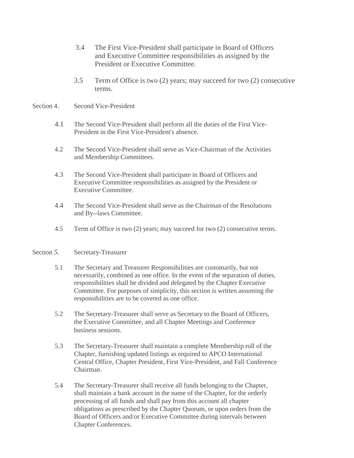- 3.4 The First Vice-President shall participate in Board of Officers and Executive Committee responsibilities as assigned by the President or Executive Committee.
- 3.5 Term of Office is two (2) years; may succeed for two (2) consecutive terms.
- Section 4. Second Vice-President
	- 4.1 The Second Vice-President shall perform all the duties of the First Vice-President in the First Vice-President's absence.
	- 4.2 The Second Vice-President shall serve as Vice-Chairman of the Activities and Membership Committees.
	- 4.3 The Second Vice-President shall participate in Board of Officers and Executive Committee responsibilities as assigned by the President or Executive Committee.
	- 4.4 The Second Vice-President shall serve as the Chairman of the Resolutions and By--laws Committee.
	- 4.5 Term of Office is two (2) years; may succeed for two (2) consecutive terms.

#### Section 5. Secretary-Treasurer

- 5.1 The Secretary and Treasurer Responsibilities are customarily, but not necessarily, combined as one office. In the event of the separation of duties, responsibilities shall be divided and delegated by the Chapter Executive Committee. For purposes of simplicity, this section is written assuming the responsibilities are to be covered as one office.
- 5.2 The Secretary-Treasurer shall serve as Secretary to the Board of Officers, the Executive Committee, and all Chapter Meetings and Conference business sessions.
- 5.3 The Secretary-Treasurer shall maintain a complete Membership roll of the Chapter, furnishing updated listings as required to APCO International Central Office, Chapter President, First Vice-President, and Fall Conference Chairman.
- 5.4 The Secretary-Treasurer shall receive all funds belonging to the Chapter, shall maintain a bank account in the name of the Chapter, for the orderly processing of all funds and shall pay from this account all chapter obligations as prescribed by the Chapter Quorum, or upon orders from the Board of Officers and/or Executive Committee during intervals between Chapter Conferences.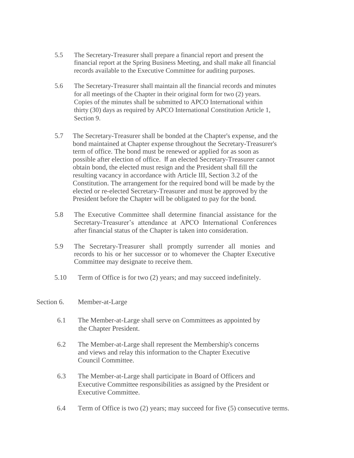- 5.5 The Secretary-Treasurer shall prepare a financial report and present the financial report at the Spring Business Meeting, and shall make all financial records available to the Executive Committee for auditing purposes.
- 5.6 The Secretary-Treasurer shall maintain all the financial records and minutes for all meetings of the Chapter in their original form for two (2) years. Copies of the minutes shall be submitted to APCO International within thirty (30) days as required by APCO International Constitution Article 1, Section 9.
- 5.7 The Secretary-Treasurer shall be bonded at the Chapter's expense, and the bond maintained at Chapter expense throughout the Secretary-Treasurer's term of office. The bond must be renewed or applied for as soon as possible after election of office. If an elected Secretary-Treasurer cannot obtain bond, the elected must resign and the President shall fill the resulting vacancy in accordance with Article III, Section 3.2 of the Constitution. The arrangement for the required bond will be made by the elected or re-elected Secretary-Treasurer and must be approved by the President before the Chapter will be obligated to pay for the bond.
- 5.8 The Executive Committee shall determine financial assistance for the Secretary-Treasurer's attendance at APCO International Conferences after financial status of the Chapter is taken into consideration.
- 5.9 The Secretary-Treasurer shall promptly surrender all monies and records to his or her successor or to whomever the Chapter Executive Committee may designate to receive them.
- 5.10 Term of Office is for two (2) years; and may succeed indefinitely.

#### Section 6. Member-at-Large

- 6.1 The Member-at-Large shall serve on Committees as appointed by the Chapter President.
- 6.2 The Member-at-Large shall represent the Membership's concerns and views and relay this information to the Chapter Executive Council Committee.
- 6.3 The Member-at-Large shall participate in Board of Officers and Executive Committee responsibilities as assigned by the President or Executive Committee.
- 6.4 Term of Office is two (2) years; may succeed for five (5) consecutive terms.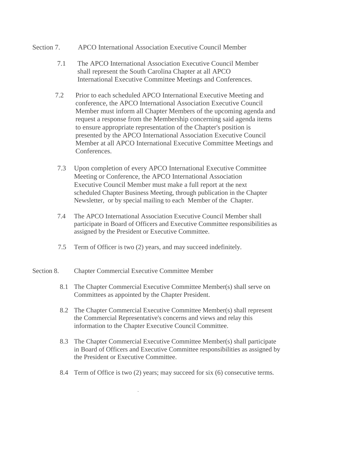#### Section 7. APCO International Association Executive Council Member

- 7.1 The APCO International Association Executive Council Member shall represent the South Carolina Chapter at all APCO International Executive Committee Meetings and Conferences.
- 7.2 Prior to each scheduled APCO International Executive Meeting and conference, the APCO International Association Executive Council Member must inform all Chapter Members of the upcoming agenda and request a response from the Membership concerning said agenda items to ensure appropriate representation of the Chapter's position is presented by the APCO International Association Executive Council Member at all APCO International Executive Committee Meetings and Conferences.
- 7.3 Upon completion of every APCO International Executive Committee Meeting or Conference, the APCO International Association Executive Council Member must make a full report at the next scheduled Chapter Business Meeting, through publication in the Chapter Newsletter, or by special mailing to each Member of the Chapter.
- 7.4 The APCO International Association Executive Council Member shall participate in Board of Officers and Executive Committee responsibilities as assigned by the President or Executive Committee.
- 7.5 Term of Officer is two (2) years, and may succeed indefinitely.
- Section 8. Chapter Commercial Executive Committee Member
	- 8.1 The Chapter Commercial Executive Committee Member(s) shall serve on Committees as appointed by the Chapter President.
	- 8.2 The Chapter Commercial Executive Committee Member(s) shall represent the Commercial Representative's concerns and views and relay this information to the Chapter Executive Council Committee.
	- 8.3 The Chapter Commercial Executive Committee Member(s) shall participate in Board of Officers and Executive Committee responsibilities as assigned by the President or Executive Committee.
	- 8.4 Term of Office is two (2) years; may succeed for six (6) consecutive terms.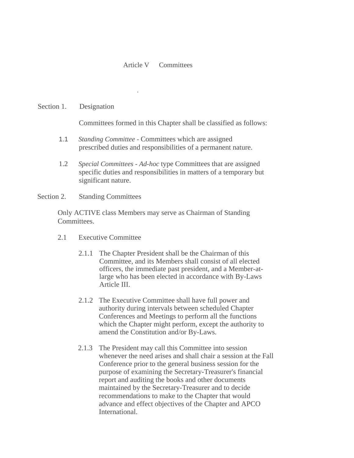#### Article V Committees

#### Section 1. Designation

Committees formed in this Chapter shall be classified as follows:

- 1.1 *Standing Committee*  Committees which are assigned prescribed duties and responsibilities of a permanent nature.
- 1.2 *Special Committees - Ad-hoc* type Committees that are assigned specific duties and responsibilities in matters of a temporary but significant nature.
- Section 2. Standing Committees

Only ACTIVE class Members may serve as Chairman of Standing Committees.

- 2.1 Executive Committee
	- 2.1.1 The Chapter President shall be the Chairman of this Committee, and its Members shall consist of all elected officers, the immediate past president, and a Member-atlarge who has been elected in accordance with By-Laws Article III.
	- 2.1.2 The Executive Committee shall have full power and authority during intervals between scheduled Chapter Conferences and Meetings to perform all the functions which the Chapter might perform, except the authority to amend the Constitution and/or By-Laws.
	- 2.1.3 The President may call this Committee into session whenever the need arises and shall chair a session at the Fall Conference prior to the general business session for the purpose of examining the Secretary-Treasurer's financial report and auditing the books and other documents maintained by the Secretary-Treasurer and to decide recommendations to make to the Chapter that would advance and effect objectives of the Chapter and APCO International.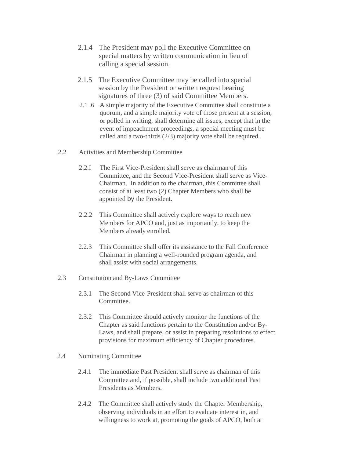- 2.1.4 The President may poll the Executive Committee on special matters by written communication in lieu of calling a special session.
- 2.1.5 The Executive Committee may be called into special session by the President or written request bearing signatures of three (3) of said Committee Members.
- 2.1 .6 A simple majority of the Executive Committee shall constitute a quorum, and a simple majority vote of those present at a session, or polled in writing, shall determine all issues, except that in the event of impeachment proceedings, a special meeting must be called and a two-thirds (2/3) majority vote shall be required.
- 2.2 Activities and Membership Committee
	- 2.2.I The First Vice-President shall serve as chairman of this Committee, and the Second Vice-President shall serve as Vice-Chairman. In addition to the chairman, this Committee shall consist of at least two (2) Chapter Members who shall be appointed by the President.
	- 2.2.2 This Committee shall actively explore ways to reach new Members for APCO and, just as importantly, to keep the Members already enrolled.
	- 2.2.3 This Committee shall offer its assistance to the Fall Conference Chairman in planning a well-rounded program agenda, and shall assist with social arrangements.
- 2.3 Constitution and By-Laws Committee
	- 2.3.1 The Second Vice-President shall serve as chairman of this Committee.
	- 2.3.2 This Committee should actively monitor the functions of the Chapter as said functions pertain to the Constitution and/or By-Laws, and shall prepare, or assist in preparing resolutions to effect provisions for maximum efficiency of Chapter procedures.
- 2.4 Nominating Committee
	- 2.4.1 The immediate Past President shall serve as chairman of this Committee and, if possible, shall include two additional Past Presidents as Members.
	- 2.4.2 The Committee shall actively study the Chapter Membership, observing individuals in an effort to evaluate interest in, and willingness to work at, promoting the goals of APCO, both at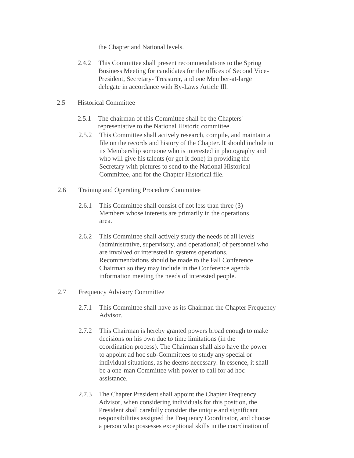the Chapter and National levels.

- 2.4.2 This Committee shall present recommendations to the Spring Business Meeting for candidates for the offices of Second Vice-President, Secretary- Treasurer, and one Member-at-large delegate in accordance with By-Laws Article Ill.
- 2.5 Historical Committee
	- 2.5.1 The chairman of this Committee shall be the Chapters' representative to the National Historic committee.
	- 2.5.2 This Committee shall actively research, compile, and maintain a file on the records and history of the Chapter. It should include in its Membership someone who is interested in photography and who will give his talents (or get it done) in providing the Secretary with pictures to send to the National Historical Committee, and for the Chapter Historical file.
- 2.6 Training and Operating Procedure Committee
	- 2.6.1 This Committee shall consist of not less than three (3) Members whose interests are primarily in the operations area.
	- 2.6.2 This Committee shall actively study the needs of all levels (administrative, supervisory, and operational) of personnel who are involved or interested in systems operations. Recommendations should be made to the Fall Conference Chairman so they may include in the Conference agenda information meeting the needs of interested people.
- 2.7 Frequency Advisory Committee
	- 2.7.1 This Committee shall have as its Chairman the Chapter Frequency Advisor.
	- 2.7.2 This Chairman is hereby granted powers broad enough to make decisions on his own due to time limitations (in the coordination process). The Chairman shall also have the power to appoint ad hoc sub-Committees to study any special or individual situations, as he deems necessary. In essence, it shall be a one-man Committee with power to call for ad hoc assistance.
	- 2.7.3 The Chapter President shall appoint the Chapter Frequency Advisor, when considering individuals for this position, the President shall carefully consider the unique and significant responsibilities assigned the Frequency Coordinator, and choose a person who possesses exceptional skills in the coordination of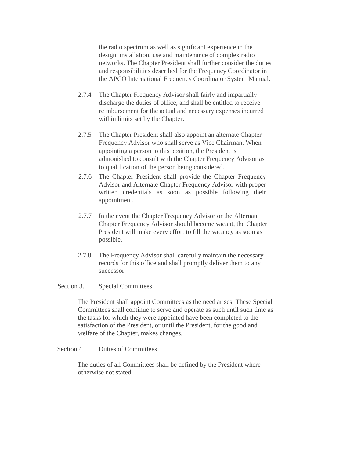the radio spectrum as well as significant experience in the design, installation, use and maintenance of complex radio networks. The Chapter President shall further consider the duties and responsibilities described for the Frequency Coordinator in the APCO International Frequency Coordinator System Manual.

- 2.7.4 The Chapter Frequency Advisor shall fairly and impartially discharge the duties of office, and shall be entitled to receive reimbursement for the actual and necessary expenses incurred within limits set by the Chapter.
- 2.7.5 The Chapter President shall also appoint an alternate Chapter Frequency Advisor who shall serve as Vice Chairman. When appointing a person to this position, the President is admonished to consult with the Chapter Frequency Advisor as to qualification of the person being considered.
- 2.7.6 The Chapter President shall provide the Chapter Frequency Advisor and Alternate Chapter Frequency Advisor with proper written credentials as soon as possible following their appointment.
- 2.7.7 In the event the Chapter Frequency Advisor or the Alternate Chapter Frequency Advisor should become vacant, the Chapter President will make every effort to fill the vacancy as soon as possible.
- 2.7.8 The Frequency Advisor shall carefully maintain the necessary records for this office and shall promptly deliver them to any successor.

#### Section 3. Special Committees

The President shall appoint Committees as the need arises. These Special Committees shall continue to serve and operate as such until such time as the tasks for which they were appointed have been completed to the satisfaction of the President, or until the President, for the good and welfare of the Chapter, makes changes.

Section 4. Duties of Committees

The duties of all Committees shall be defined by the President where otherwise not stated.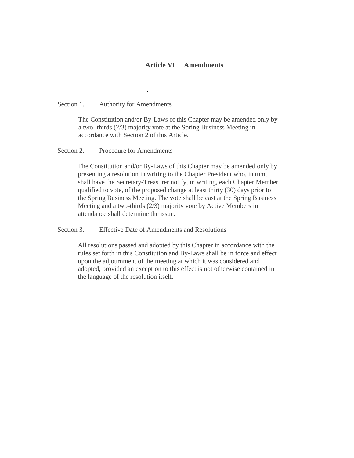#### **Article VI Amendments**

Section 1. Authority for Amendments

The Constitution and/or By-Laws of this Chapter may be amended only by a two- thirds (2/3) majority vote at the Spring Business Meeting in accordance with Section 2 of this Article.

Section 2. Procedure for Amendments

The Constitution and/or By-Laws of this Chapter may be amended only by presenting a resolution in writing to the Chapter President who, in tum, shall have the Secretary-Treasurer notify, in writing, each Chapter Member qualified to vote, of the proposed change at least thirty (30) days prior to the Spring Business Meeting. The vote shall be cast at the Spring Business Meeting and a two-thirds (2/3) majority vote by Active Members in attendance shall determine the issue.

Section 3. Effective Date of Amendments and Resolutions

All resolutions passed and adopted by this Chapter in accordance with the rules set forth in this Constitution and By-Laws shall be in force and effect upon the adjournment of the meeting at which it was considered and adopted, provided an exception to this effect is not otherwise contained in the language of the resolution itself.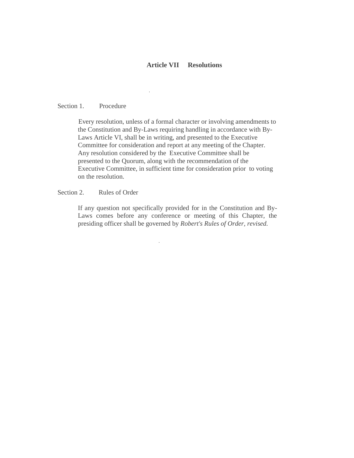#### **Article VII Resolutions**

#### Section 1. Procedure

Every resolution, unless of a formal character or involving amendments to the Constitution and By-Laws requiring handling in accordance with By-Laws Article VI, shall be in writing, and presented to the Executive Committee for consideration and report at any meeting of the Chapter. Any resolution considered by the Executive Committee shall be presented to the Quorum, along with the recommendation of the Executive Committee, in sufficient time for consideration prior to voting on the resolution.

#### Section 2. Rules of Order

If any question not specifically provided for in the Constitution and By-Laws comes before any conference or meeting of this Chapter, the presiding officer shall be governed by *Robert's Rules of Order, revised.*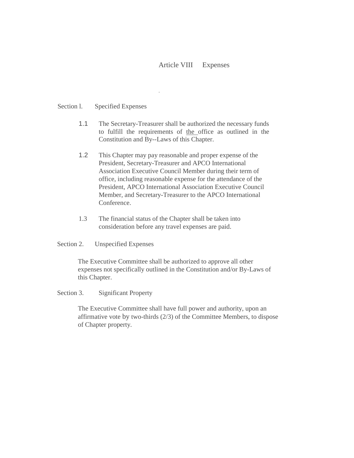#### Article VIII Expenses

#### Section l. Specified Expenses

- 1.1 The Secretary-Treasurer shall be authorized the necessary funds to fulfill the requirements of the office as outlined in the Constitution and By--Laws of this Chapter.
- 1.2 This Chapter may pay reasonable and proper expense of the President, Secretary-Treasurer and APCO International Association Executive Council Member during their term of office, including reasonable expense for the attendance of the President, APCO International Association Executive Council Member, and Secretary-Treasurer to the APCO International Conference.
- 1.3 The financial status of the Chapter shall be taken into consideration before any travel expenses are paid.

#### Section 2. Unspecified Expenses

The Executive Committee shall be authorized to approve all other expenses not specifically outlined in the Constitution and/or By-Laws of this Chapter.

#### Section 3. Significant Property

The Executive Committee shall have full power and authority, upon an affirmative vote by two-thirds (2/3) of the Committee Members, to dispose of Chapter property.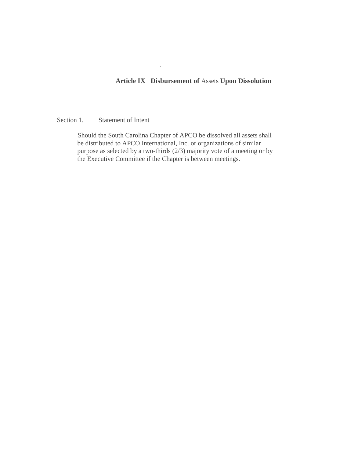#### **Article IX Disbursement of** Assets **Upon Dissolution**

Section 1. Statement of Intent

Should the South Carolina Chapter of APCO be dissolved all assets shall be distributed to APCO International, Inc. or organizations of similar purpose as selected by a two-thirds (2/3) majority vote of a meeting or by the Executive Committee if the Chapter is between meetings.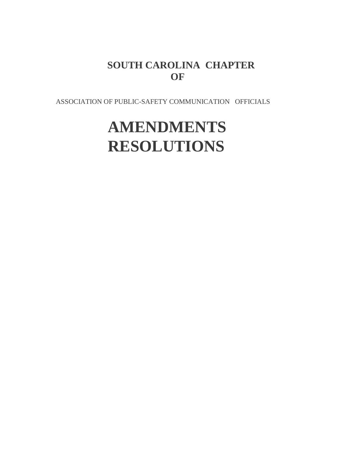## **SOUTH CAROLINA CHAPTER OF**

ASSOCIATION OF PUBLIC-SAFETY COMMUNICATION OFFICIALS

# **AMENDMENTS RESOLUTIONS**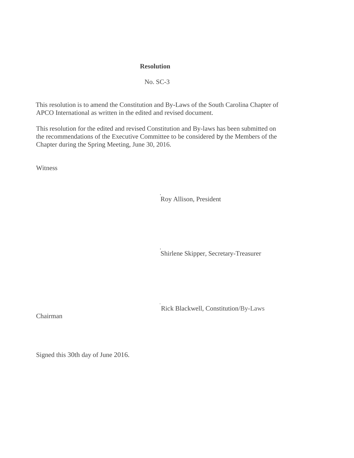#### **Resolution**

#### No. SC-3

This resolution is to amend the Constitution and By-Laws of the South Carolina Chapter of APCO International as written in the edited and revised document.

This resolution for the edited and revised Constitution and By-laws has been submitted on the recommendations of the Executive Committee to be considered by the Members of the Chapter during the Spring Meeting, June 30, 2016.

Witness

Roy Allison, President

Shirlene Skipper, Secretary-Treasurer

Rick Blackwell, Constitution/By-Laws

Chairman

Signed this 30th day of June 2016.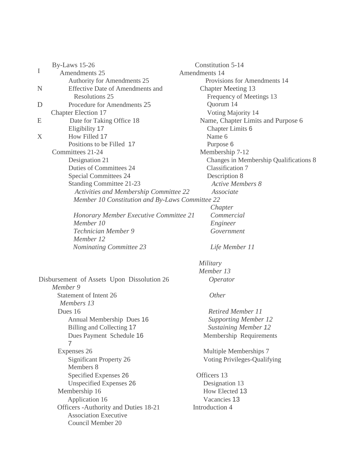|   | <b>By-Laws</b> 15-26                                   | Constitution 5-14                      |
|---|--------------------------------------------------------|----------------------------------------|
| I | Amendments 25                                          | Amendments 14                          |
|   | Authority for Amendments 25                            | Provisions for Amendments 14           |
| N | <b>Effective Date of Amendments and</b>                | <b>Chapter Meeting 13</b>              |
|   | <b>Resolutions 25</b>                                  | Frequency of Meetings 13               |
| D | Procedure for Amendments 25                            | Quorum 14                              |
|   | <b>Chapter Election 17</b>                             | Voting Majority 14                     |
| E | Date for Taking Office 18                              | Name, Chapter Limits and Purpose 6     |
|   | Eligibility 17                                         | Chapter Limits 6                       |
| X | How Filled 17                                          | Name 6                                 |
|   | Positions to be Filled 17                              | Purpose 6                              |
|   | Committees 21-24                                       | Membership 7-12                        |
|   | Designation 21                                         | Changes in Membership Qualifications 8 |
|   | Duties of Committees 24                                | <b>Classification 7</b>                |
|   | <b>Special Committees 24</b>                           | Description 8                          |
|   | <b>Standing Committee 21-23</b>                        | <b>Active Members 8</b>                |
|   | Activities and Membership Committee 22                 | Associate                              |
|   | Member 10 Constitution and By-Laws Committee 22        |                                        |
|   |                                                        | Chapter                                |
|   | Honorary Member Executive Committee 21                 | Commercial                             |
|   | Member 10                                              | Engineer                               |
|   | Technician Member 9                                    | Government                             |
|   | Member 12                                              |                                        |
|   | <b>Nominating Committee 23</b>                         | Life Member 11                         |
|   |                                                        | Military                               |
|   |                                                        | Member 13                              |
|   | Disbursement of Assets Upon Dissolution 26<br>Member 9 | Operator                               |
|   | Statement of Intent 26                                 | Other                                  |
|   | Members 13                                             |                                        |
|   | Dues 16                                                | <b>Retired Member 11</b>               |
|   | Annual Membership Dues 16                              | <b>Supporting Member 12</b>            |
|   | Billing and Collecting 17                              | <b>Sustaining Member 12</b>            |
|   | Dues Payment Schedule 16                               | Membership Requirements                |
|   | 7                                                      |                                        |
|   | Expenses 26                                            | Multiple Memberships 7                 |
|   | Significant Property 26                                | Voting Privileges-Qualifying           |
|   | Members 8                                              |                                        |
|   | Specified Expenses 26                                  | Officers 13                            |
|   | <b>Unspecified Expenses 26</b>                         | Designation 13                         |
|   | Membership 16                                          | How Elected 13                         |
|   | Application 16                                         | Vacancies 13                           |
|   | Officers - Authority and Duties 18-21                  | Introduction 4                         |
|   | <b>Association Executive</b>                           |                                        |
|   | Council Member 20                                      |                                        |
|   |                                                        |                                        |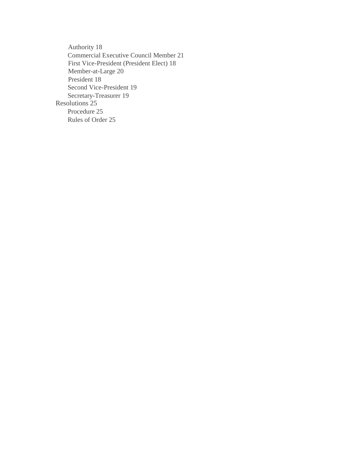Authority 18 Commercial Executive Council Member 21 First Vice-President (President Elect) 18 Member-at-Large 20 President 18 Second Vice-President 19 Secretary-Treasurer 19 Resolutions 25 Procedure 25 Rules of Order 25